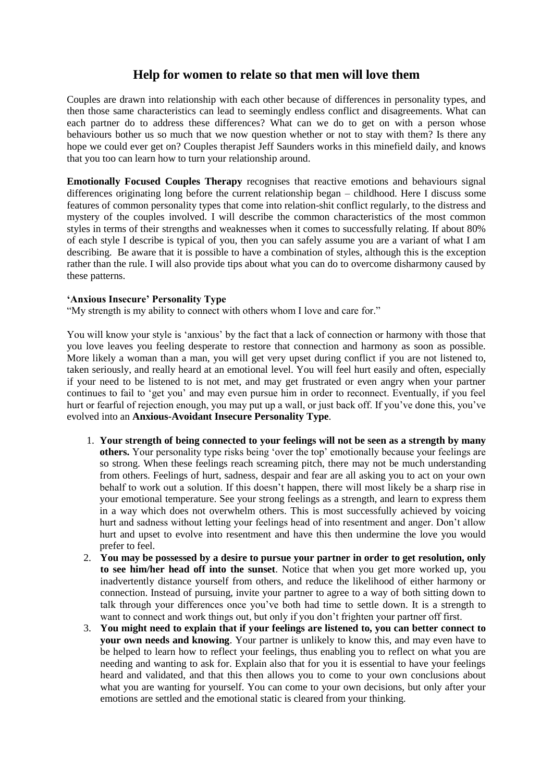## **Help for women to relate so that men will love them**

Couples are drawn into relationship with each other because of differences in personality types, and then those same characteristics can lead to seemingly endless conflict and disagreements. What can each partner do to address these differences? What can we do to get on with a person whose behaviours bother us so much that we now question whether or not to stay with them? Is there any hope we could ever get on? Couples therapist Jeff Saunders works in this minefield daily, and knows that you too can learn how to turn your relationship around.

**Emotionally Focused Couples Therapy** recognises that reactive emotions and behaviours signal differences originating long before the current relationship began – childhood. Here I discuss some features of common personality types that come into relation-shit conflict regularly, to the distress and mystery of the couples involved. I will describe the common characteristics of the most common styles in terms of their strengths and weaknesses when it comes to successfully relating. If about 80% of each style I describe is typical of you, then you can safely assume you are a variant of what I am describing. Be aware that it is possible to have a combination of styles, although this is the exception rather than the rule. I will also provide tips about what you can do to overcome disharmony caused by these patterns.

## **'Anxious Insecure' Personality Type**

"My strength is my ability to connect with others whom I love and care for."

You will know your style is 'anxious' by the fact that a lack of connection or harmony with those that you love leaves you feeling desperate to restore that connection and harmony as soon as possible. More likely a woman than a man, you will get very upset during conflict if you are not listened to, taken seriously, and really heard at an emotional level. You will feel hurt easily and often, especially if your need to be listened to is not met, and may get frustrated or even angry when your partner continues to fail to 'get you' and may even pursue him in order to reconnect. Eventually, if you feel hurt or fearful of rejection enough, you may put up a wall, or just back off. If you've done this, you've evolved into an **Anxious-Avoidant Insecure Personality Type**.

- 1. **Your strength of being connected to your feelings will not be seen as a strength by many others.** Your personality type risks being 'over the top' emotionally because your feelings are so strong. When these feelings reach screaming pitch, there may not be much understanding from others. Feelings of hurt, sadness, despair and fear are all asking you to act on your own behalf to work out a solution. If this doesn't happen, there will most likely be a sharp rise in your emotional temperature. See your strong feelings as a strength, and learn to express them in a way which does not overwhelm others. This is most successfully achieved by voicing hurt and sadness without letting your feelings head of into resentment and anger. Don't allow hurt and upset to evolve into resentment and have this then undermine the love you would prefer to feel.
- 2. **You may be possessed by a desire to pursue your partner in order to get resolution, only to see him/her head off into the sunset**. Notice that when you get more worked up, you inadvertently distance yourself from others, and reduce the likelihood of either harmony or connection. Instead of pursuing, invite your partner to agree to a way of both sitting down to talk through your differences once you've both had time to settle down. It is a strength to want to connect and work things out, but only if you don't frighten your partner off first.
- 3. **You might need to explain that if your feelings are listened to, you can better connect to your own needs and knowing**. Your partner is unlikely to know this, and may even have to be helped to learn how to reflect your feelings, thus enabling you to reflect on what you are needing and wanting to ask for. Explain also that for you it is essential to have your feelings heard and validated, and that this then allows you to come to your own conclusions about what you are wanting for yourself. You can come to your own decisions, but only after your emotions are settled and the emotional static is cleared from your thinking.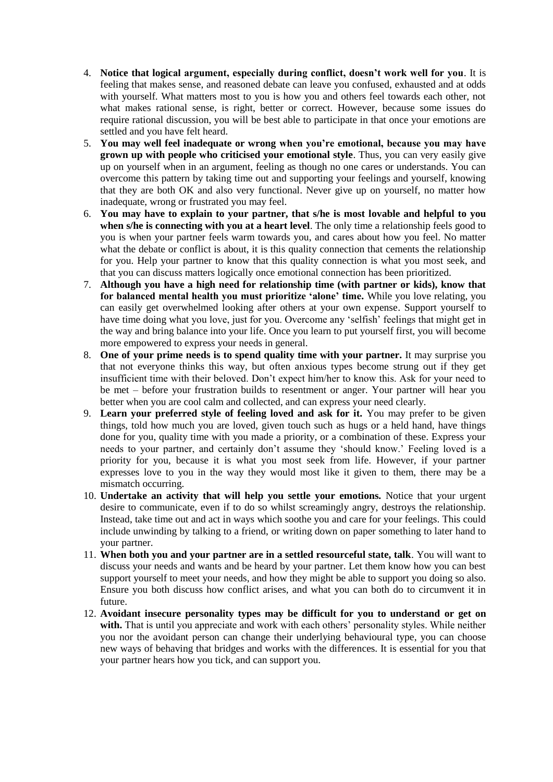- 4. **Notice that logical argument, especially during conflict, doesn't work well for you**. It is feeling that makes sense, and reasoned debate can leave you confused, exhausted and at odds with yourself. What matters most to you is how you and others feel towards each other, not what makes rational sense, is right, better or correct. However, because some issues do require rational discussion, you will be best able to participate in that once your emotions are settled and you have felt heard.
- 5. **You may well feel inadequate or wrong when you're emotional, because you may have grown up with people who criticised your emotional style**. Thus, you can very easily give up on yourself when in an argument, feeling as though no one cares or understands. You can overcome this pattern by taking time out and supporting your feelings and yourself, knowing that they are both OK and also very functional. Never give up on yourself, no matter how inadequate, wrong or frustrated you may feel.
- 6. **You may have to explain to your partner, that s/he is most lovable and helpful to you when s/he is connecting with you at a heart level**. The only time a relationship feels good to you is when your partner feels warm towards you, and cares about how you feel. No matter what the debate or conflict is about, it is this quality connection that cements the relationship for you. Help your partner to know that this quality connection is what you most seek, and that you can discuss matters logically once emotional connection has been prioritized.
- 7. **Although you have a high need for relationship time (with partner or kids), know that for balanced mental health you must prioritize 'alone' time.** While you love relating, you can easily get overwhelmed looking after others at your own expense. Support yourself to have time doing what you love, just for you. Overcome any 'selfish' feelings that might get in the way and bring balance into your life. Once you learn to put yourself first, you will become more empowered to express your needs in general.
- 8. **One of your prime needs is to spend quality time with your partner.** It may surprise you that not everyone thinks this way, but often anxious types become strung out if they get insufficient time with their beloved. Don't expect him/her to know this. Ask for your need to be met – before your frustration builds to resentment or anger. Your partner will hear you better when you are cool calm and collected, and can express your need clearly.
- 9. **Learn your preferred style of feeling loved and ask for it.** You may prefer to be given things, told how much you are loved, given touch such as hugs or a held hand, have things done for you, quality time with you made a priority, or a combination of these. Express your needs to your partner, and certainly don't assume they 'should know.' Feeling loved is a priority for you, because it is what you most seek from life. However, if your partner expresses love to you in the way they would most like it given to them, there may be a mismatch occurring.
- 10. **Undertake an activity that will help you settle your emotions.** Notice that your urgent desire to communicate, even if to do so whilst screamingly angry, destroys the relationship. Instead, take time out and act in ways which soothe you and care for your feelings. This could include unwinding by talking to a friend, or writing down on paper something to later hand to your partner.
- 11. **When both you and your partner are in a settled resourceful state, talk**. You will want to discuss your needs and wants and be heard by your partner. Let them know how you can best support yourself to meet your needs, and how they might be able to support you doing so also. Ensure you both discuss how conflict arises, and what you can both do to circumvent it in future.
- 12. **Avoidant insecure personality types may be difficult for you to understand or get on**  with. That is until you appreciate and work with each others' personality styles. While neither you nor the avoidant person can change their underlying behavioural type, you can choose new ways of behaving that bridges and works with the differences. It is essential for you that your partner hears how you tick, and can support you.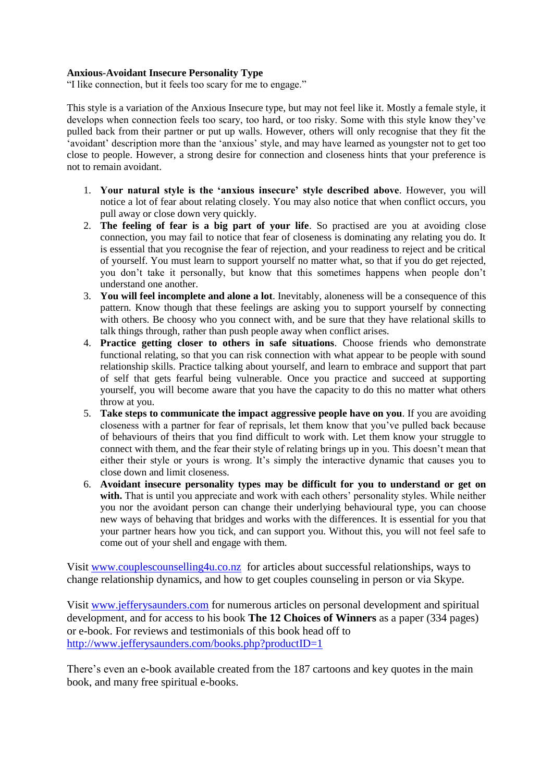## **Anxious-Avoidant Insecure Personality Type**

"I like connection, but it feels too scary for me to engage."

This style is a variation of the Anxious Insecure type, but may not feel like it. Mostly a female style, it develops when connection feels too scary, too hard, or too risky. Some with this style know they've pulled back from their partner or put up walls. However, others will only recognise that they fit the 'avoidant' description more than the 'anxious' style, and may have learned as youngster not to get too close to people. However, a strong desire for connection and closeness hints that your preference is not to remain avoidant.

- 1. **Your natural style is the 'anxious insecure' style described above**. However, you will notice a lot of fear about relating closely. You may also notice that when conflict occurs, you pull away or close down very quickly.
- 2. **The feeling of fear is a big part of your life**. So practised are you at avoiding close connection, you may fail to notice that fear of closeness is dominating any relating you do. It is essential that you recognise the fear of rejection, and your readiness to reject and be critical of yourself. You must learn to support yourself no matter what, so that if you do get rejected, you don't take it personally, but know that this sometimes happens when people don't understand one another.
- 3. **You will feel incomplete and alone a lot**. Inevitably, aloneness will be a consequence of this pattern. Know though that these feelings are asking you to support yourself by connecting with others. Be choosy who you connect with, and be sure that they have relational skills to talk things through, rather than push people away when conflict arises.
- 4. **Practice getting closer to others in safe situations**. Choose friends who demonstrate functional relating, so that you can risk connection with what appear to be people with sound relationship skills. Practice talking about yourself, and learn to embrace and support that part of self that gets fearful being vulnerable. Once you practice and succeed at supporting yourself, you will become aware that you have the capacity to do this no matter what others throw at you.
- 5. **Take steps to communicate the impact aggressive people have on you**. If you are avoiding closeness with a partner for fear of reprisals, let them know that you've pulled back because of behaviours of theirs that you find difficult to work with. Let them know your struggle to connect with them, and the fear their style of relating brings up in you. This doesn't mean that either their style or yours is wrong. It's simply the interactive dynamic that causes you to close down and limit closeness.
- 6. **Avoidant insecure personality types may be difficult for you to understand or get on**  with. That is until you appreciate and work with each others' personality styles. While neither you nor the avoidant person can change their underlying behavioural type, you can choose new ways of behaving that bridges and works with the differences. It is essential for you that your partner hears how you tick, and can support you. Without this, you will not feel safe to come out of your shell and engage with them.

Visit [www.couplescounselling4u.co.nz](http://www.couplescounselling4u.co.nz/) for articles about successful relationships, ways to change relationship dynamics, and how to get couples counseling in person or via Skype.

Visit [www.jefferysaunders.com](http://www.jefferysaunders.com/) for numerous articles on personal development and spiritual development, and for access to his book **The 12 Choices of Winners** as a paper (334 pages) or e-book. For reviews and testimonials of this book head off to <http://www.jefferysaunders.com/books.php?productID=1>

There's even an e-book available created from the 187 cartoons and key quotes in the main book, and many free spiritual e-books.